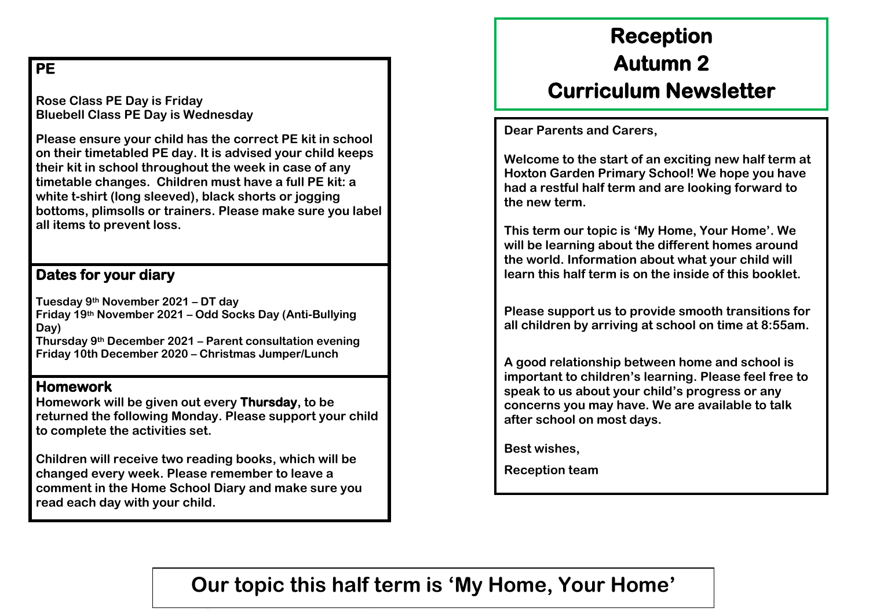# **PE**

**Rose Class PE Day is Friday Bluebell Class PE Day is Wednesday** 

**Please ensure your child has the correct PE kit in school on their timetabled PE day. It is advised your child keeps their kit in school throughout the week in case of any timetable changes. Children must have a full PE kit: a white t-shirt (long sleeved), black shorts or jogging bottoms, plimsolls or trainers. Please make sure you label all items to prevent loss.** 

### **Dates for your diary**

**Tuesday 9th November 2021 – DT day Friday 19th November 2021 – Odd Socks Day (Anti-Bullying Day) Thursday 9th December 2021 – Parent consultation evening Friday 10th December 2020 – Christmas Jumper/Lunch** 

## **Homework**

**Homework will be given out every Thursday, to be returned the following Monday. Please support your child to complete the activities set.** 

**Children will receive two reading books, which will be changed every week. Please remember to leave a comment in the Home School Diary and make sure you read each day with your child.** 

# **Reception Autumn 2 Curriculum Newsletter**

**Dear Parents and Carers,** 

**Welcome to the start of an exciting new half term at Hoxton Garden Primary School! We hope you have had a restful half term and are looking forward to the new term.** 

**This term our topic is 'My Home, Your Home'. We will be learning about the different homes around the world. Information about what your child will learn this half term is on the inside of this booklet.** 

**Please support us to provide smooth transitions for all children by arriving at school on time at 8:55am.** 

**A good relationship between home and school is important to children's learning. Please feel free to speak to us about your child's progress or any concerns you may have. We are available to talk after school on most days.** 

**Best wishes,** 

**Reception team** 

# **Our topic this half term is 'My Home, Your Home'**